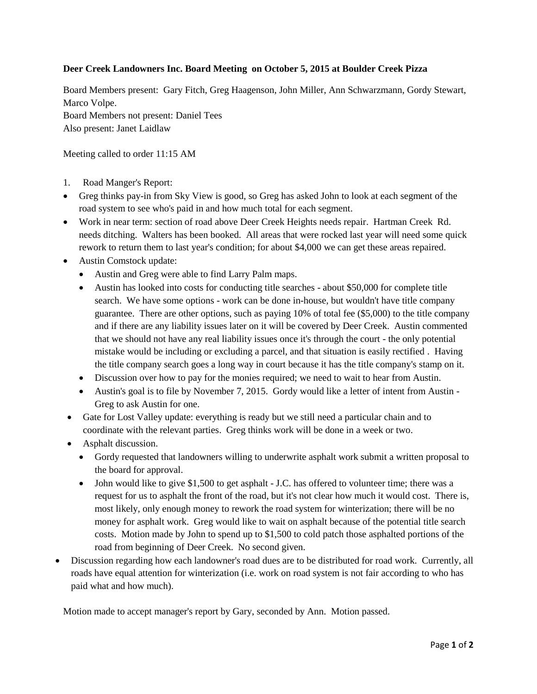## **Deer Creek Landowners Inc. Board Meeting on October 5, 2015 at Boulder Creek Pizza**

Board Members present: Gary Fitch, Greg Haagenson, John Miller, Ann Schwarzmann, Gordy Stewart, Marco Volpe. Board Members not present: Daniel Tees Also present: Janet Laidlaw

Meeting called to order 11:15 AM

- 1. Road Manger's Report:
- Greg thinks pay-in from Sky View is good, so Greg has asked John to look at each segment of the road system to see who's paid in and how much total for each segment.
- Work in near term: section of road above Deer Creek Heights needs repair. Hartman Creek Rd. needs ditching. Walters has been booked. All areas that were rocked last year will need some quick rework to return them to last year's condition; for about \$4,000 we can get these areas repaired.
- Austin Comstock update:
	- Austin and Greg were able to find Larry Palm maps.
	- Austin has looked into costs for conducting title searches about \$50,000 for complete title search. We have some options - work can be done in-house, but wouldn't have title company guarantee. There are other options, such as paying 10% of total fee (\$5,000) to the title company and if there are any liability issues later on it will be covered by Deer Creek. Austin commented that we should not have any real liability issues once it's through the court - the only potential mistake would be including or excluding a parcel, and that situation is easily rectified . Having the title company search goes a long way in court because it has the title company's stamp on it.
	- Discussion over how to pay for the monies required; we need to wait to hear from Austin.
	- Austin's goal is to file by November 7, 2015. Gordy would like a letter of intent from Austin Greg to ask Austin for one.
- Gate for Lost Valley update: everything is ready but we still need a particular chain and to coordinate with the relevant parties. Greg thinks work will be done in a week or two.
- Asphalt discussion.
	- Gordy requested that landowners willing to underwrite asphalt work submit a written proposal to the board for approval.
	- John would like to give \$1,500 to get asphalt J.C. has offered to volunteer time; there was a request for us to asphalt the front of the road, but it's not clear how much it would cost. There is, most likely, only enough money to rework the road system for winterization; there will be no money for asphalt work. Greg would like to wait on asphalt because of the potential title search costs. Motion made by John to spend up to \$1,500 to cold patch those asphalted portions of the road from beginning of Deer Creek. No second given.
- Discussion regarding how each landowner's road dues are to be distributed for road work. Currently, all roads have equal attention for winterization (i.e. work on road system is not fair according to who has paid what and how much).

Motion made to accept manager's report by Gary, seconded by Ann. Motion passed.